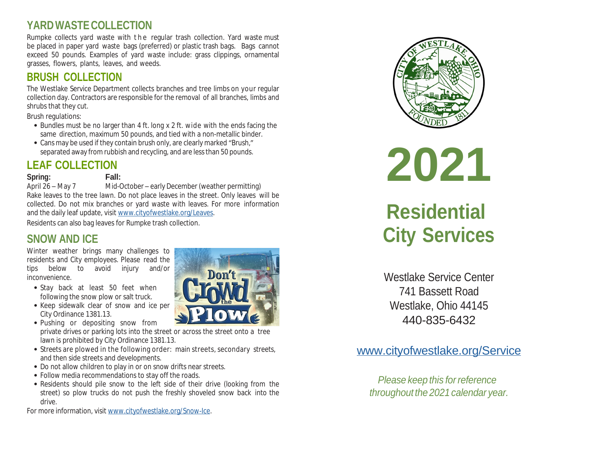# **YARDWASTE COLLECTION**

Rumpke collects yard waste with the regular trash collection. Yard waste must be placed in paper yard waste bags (preferred) or plastic trash bags. Bags cannot exceed 50 pounds. Examples of yard waste include: grass clippings, ornamental grasses, flowers, plants, leaves, and weeds.

# **BRUSH COLLECTIO[N](http://www.cityofwestlake.org/Leaves)**

The Westlake Service Department collects branches and tree limbs on your regular collection day. Contractors are responsible for the removal of all branches, limbs and shrubs that they cut.

Brush regulations:

- Bundles must be no larger than 4 ft. long x 2 ft. wide with the ends facing the same direction, maximum 50 pounds, and tied with a non-metallic binder.
- Cans may be used if they contain brush only, are clearly marked "Brush," separated away from rubbish and recycling, and are less than 50 pounds.

# **LEAF COLLECTION**

### **Spring: Fall:**

April 26 – May 7 Mid-October – early December (weather permitting) Rake leaves to the tree lawn. Do not place leaves in the street. Only leaves will be collected. Do not mix branches or yard waste with leaves. For more information and the daily leaf update, visit www.cityofwestlake.org/Leaves.

Residents can also bag leaves for Rumpke trash collection.

# **SNOW AND ICE**

Winter weather brings many challenges to residents and City employees. Please read the tips below to avoid injury [and/or](http://www.cityofwestlake.org/Snow-Ice) inconvenience.

- Stay back at least 50 feet when following the snow plow or salt truck.
- Keep sidewalk clear of snow and ice per City Ordinance 1381.13.
- Pushing or depositing snow from private drives or parking lots into the street or across the street onto a tree lawn is prohibited by City Ordinance 1381.13.
- Streets are plowed in the following order: main streets, secondary streets, and then side streets and developments.
- Do not allow children to play in or on snow drifts near streets.
- Follow media recommendations to stay off the roads.
- Residents should pile snow to the left side of their drive (looking from the street) so plow trucks do not push the freshly shoveled snow back into the drive.

For more information, visit www.cityofwestlake.org/Snow-Ice.







# **Residen City Serv**

Westlake Service 741 Bassett I Westlake, Ohio 440-835-6

# www.cityofwestlake

*Please keep this for throughout the* 2021 *ca*